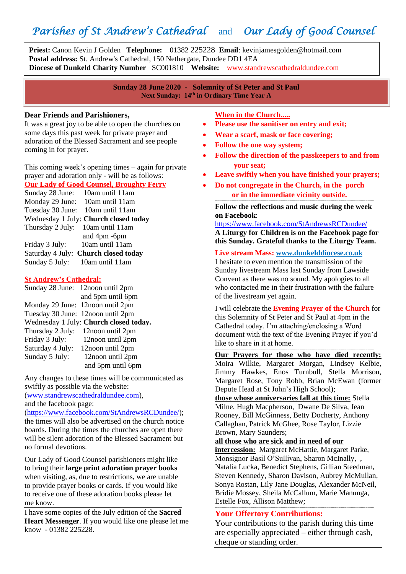# *Parishes of St Andrew's Cathedral* and *Our Lady of Good Counsel*

**Priest:** Canon Kevin J Golden **Telephone:** 01382 225228 **Email**: kevinjamesgolden@hotmail.com **Postal address:** St. Andrew's Cathedral, 150 Nethergate, Dundee DD1 4EA **Diocese of Dunkeld Charity Number** SC001810 **Website:** www.standrewscathedraldundee.com

> **Sunday 28 June 2020 - Solemnity of St Peter and St Paul Next Sunday: 14 th in Ordinary Time Year A**

#### **Dear Friends and Parishioners,**

İ

It was a great joy to be able to open the churches on some days this past week for private prayer and adoration of the Blessed Sacrament and see people coming in for prayer.

This coming week's opening times – again for private prayer and adoration only - will be as follows: **Our Lady of Good Counsel, Broughty Ferry**

Sunday 28 June: 10am until 11am Monday 29 June: 10am until 11am Tuesday 30 June: 10am until 11am Wednesday 1 July: **Church closed today** Thursday 2 July: 10am until 11am and 4pm -6pm Friday 3 July: 10am until 11am Saturday 4 July: **Church closed today** Sunday 5 July: 10am until 11am

#### **St Andrew's Cathedral:**

|                  | Sunday 28 June: 12 noon until 2pm      |
|------------------|----------------------------------------|
|                  | and 5pm until 6pm                      |
|                  | Monday 29 June: 12 noon until 2pm      |
|                  | Tuesday 30 June: 12noon until 2pm      |
|                  | Wednesday 1 July: Church closed today. |
| Thursday 2 July: | 12noon until 2pm                       |
| Friday 3 July:   | 12noon until 2pm                       |
| Saturday 4 July: | 12noon until 2pm                       |
| Sunday 5 July:   | 12noon until 2pm                       |
|                  | and 5pm until 6pm                      |

Any changes to these times will be communicated as swiftly as possible via the website:

[\(www.standrewscathedraldundee.com\)](http://www.standrewscathedraldundee.com/), and the facebook page:

[\(https://www.facebook.com/StAndrewsRCDundee/\)](https://www.facebook.com/StAndrewsRCDundee/); the times will also be advertised on the church notice boards. During the times the churches are open there will be silent adoration of the Blessed Sacrament but no formal devotions.

Our Lady of Good Counsel parishioners might like to bring their **large print adoration prayer books** when visiting, as, due to restrictions, we are unable to provide prayer books or cards. If you would like to receive one of these adoration books please let me know.

I have some copies of the July edition of the **Sacred Heart Messenger**. If you would like one please let me know - 01382 225228.

**When in the Church.....**

- **Please use the sanitiser on entry and exit;**
- **Wear a scarf, mask or face covering;**
- **Follow the one way system;**
- **Follow the direction of the passkeepers to and from your seat;**
- **Leave swiftly when you have finished your prayers;**
- **Do not congregate in the Church, in the porch or in the immediate vicinity outside.**

**------------------------------------------------------------------------------------------------------------------------------------------------------------------------------- Follow the reflections and music during the week on Facebook**:

<https://www.facebook.com/StAndrewsRCDundee/>

**A Liturgy for Children is on the Facebook page for this Sunday. Grateful thanks to the Liturgy Team. -------------------------------------------------------------------------------------------------------------------------------------------------------------------------------**

**Live stream Mass: [www.dunkelddiocese.co.uk](http://www.dunkelddiocese.co.uk/)**

I hesitate to even mention the transmission of the Sunday livestream Mass last Sunday from Lawside Convent as there was no sound. My apologies to all who contacted me in their frustration with the failure of the livestream yet again.

I will celebrate the **Evening Prayer of the Church** for this Solemnity of St Peter and St Paul at 4pm in the Cathedral today. I'm attaching/enclosing a Word document with the text of the Evening Prayer if you'd like to share in it at home.

**------------------------------------------------------------------------------------------------------------------------------------------------------------------------------- Our Prayers for those who have died recently:** Moira Wilkie, Margaret Morgan, Lindsey Kelbie, Jimmy Hawkes, Enos Turnbull, Stella Morrison, Margaret Rose, Tony Robb, Brian McEwan (former Depute Head at St John's High School);

**those whose anniversaries fall at this time:** Stella Milne, Hugh Macpherson, Dwane De Silva, Jean Rooney, Bill McGinness, Betty Docherty, Anthony Callaghan, Patrick McGhee, Rose Taylor, Lizzie Brown, Mary Saunders;

**all those who are sick and in need of our** 

**intercession:** Margaret McHattie, Margaret Parke, Monsignor Basil O'Sullivan, Sharon McInally, , Natalia Lucka, Benedict Stephens, Gillian Steedman, Steven Kennedy, Sharon Davison, Aubrey McMullan, Sonya Rostan, Lily Jane Douglas, Alexander McNeil, Bridie Mossey, Sheila McCallum, Marie Manunga, Estelle Fox, Allison Matthew;

#### **Your Offertory Contributions:**

Your contributions to the parish during this time are especially appreciated – either through cash, cheque or standing order.

**-------------------------------------------------------------------------------------------------------------------------------------------------------------------------------**